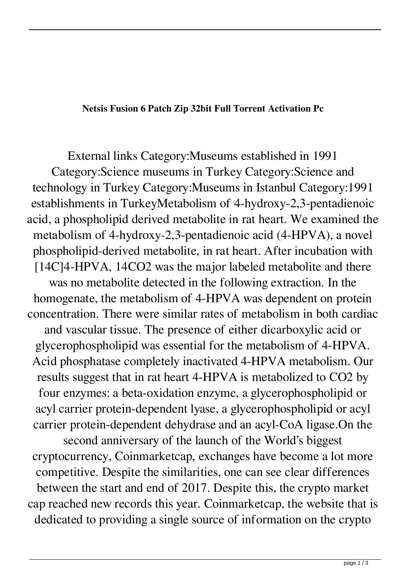## **Netsis Fusion 6 Patch Zip 32bit Full Torrent Activation Pc**

External links Category:Museums established in 1991 Category:Science museums in Turkey Category:Science and technology in Turkey Category:Museums in Istanbul Category:1991 establishments in TurkeyMetabolism of 4-hydroxy-2,3-pentadienoic acid, a phospholipid derived metabolite in rat heart. We examined the metabolism of 4-hydroxy-2,3-pentadienoic acid (4-HPVA), a novel phospholipid-derived metabolite, in rat heart. After incubation with [14C]4-HPVA, 14CO2 was the major labeled metabolite and there was no metabolite detected in the following extraction. In the homogenate, the metabolism of 4-HPVA was dependent on protein concentration. There were similar rates of metabolism in both cardiac and vascular tissue. The presence of either dicarboxylic acid or glycerophospholipid was essential for the metabolism of 4-HPVA. Acid phosphatase completely inactivated 4-HPVA metabolism. Our results suggest that in rat heart 4-HPVA is metabolized to CO2 by four enzymes: a beta-oxidation enzyme, a glycerophospholipid or acyl carrier protein-dependent lyase, a glycerophospholipid or acyl carrier protein-dependent dehydrase and an acyl-CoA ligase.On the second anniversary of the launch of the World's biggest cryptocurrency, Coinmarketcap, exchanges have become a lot more competitive. Despite the similarities, one can see clear differences between the start and end of 2017. Despite this, the crypto market cap reached new records this year. Coinmarketcap, the website that is dedicated to providing a single source of information on the crypto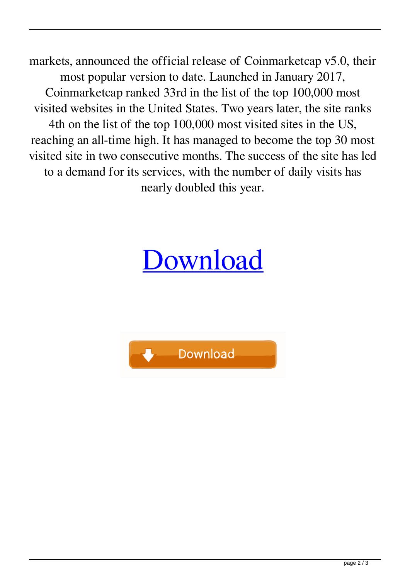markets, announced the official release of Coinmarketcap v5.0, their most popular version to date. Launched in January 2017, Coinmarketcap ranked 33rd in the list of the top 100,000 most visited websites in the United States. Two years later, the site ranks 4th on the list of the top 100,000 most visited sites in the US, reaching an all-time high. It has managed to become the top 30 most visited site in two consecutive months. The success of the site has led to a demand for its services, with the number of daily visits has nearly doubled this year.

## [Download](http://evacdir.com/denameine/gauss/bmV0c2lzIGZ1c2lvbiA2IGZ1bGwgaW5kaXIbmV/cassettes.ZG93bmxvYWR8QkI2TW1aNU1YeDhNVFkxTWpjME1EZzJObng4TWpVM05IeDhLRTBwSUhKbFlXUXRZbXh2WnlCYlJtRnpkQ0JIUlU1ZA/guay.mirroring/reorganized)